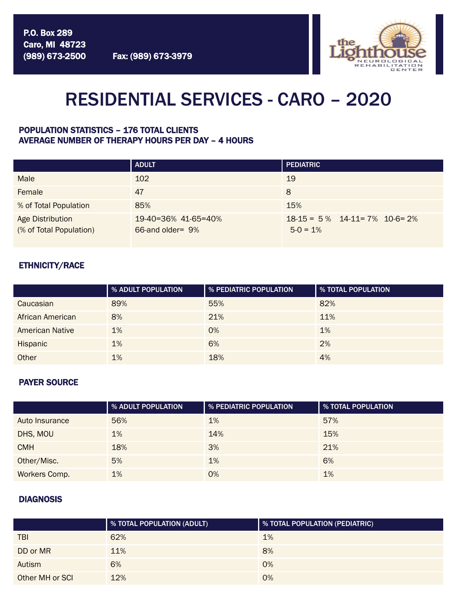

# RESIDENTIAL SERVICES - CARO – 2020

### POPULATION STATISTICS – 176 TOTAL CLIENTS AVERAGE NUMBER OF THERAPY HOURS PER DAY – 4 HOURS

|                                             | <b>ADULT</b>                             | <b>PEDIATRIC</b>                                  |
|---------------------------------------------|------------------------------------------|---------------------------------------------------|
| <b>Male</b>                                 | 102                                      | 19                                                |
| Female                                      | 47                                       | 8                                                 |
| % of Total Population                       | 85%                                      | 15%                                               |
| Age Distribution<br>(% of Total Population) | 19-40=36% 41-65=40%<br>66-and older = 9% | $18-15 = 5%$ $14-11 = 7%$ $10-6=2%$<br>$5-0 = 1%$ |

## ETHNICITY/RACE

|                        | % ADULT POPULATION | % PEDIATRIC POPULATION | <b>8 YOTAL POPULATION</b> |
|------------------------|--------------------|------------------------|---------------------------|
| Caucasian              | 89%                | 55%                    | 82%                       |
| African American       | 8%                 | 21%                    | 11%                       |
| <b>American Native</b> | 1%                 | $O\%$                  | 1%                        |
| Hispanic               | 1%                 | 6%                     | 2%                        |
| Other                  | 1%                 | 18%                    | 4%                        |

### PAYER SOURCE

|                | % ADULT POPULATION | % PEDIATRIC POPULATION | % TOTAL POPULATION |
|----------------|--------------------|------------------------|--------------------|
| Auto Insurance | 56%                | 1%                     | 57%                |
| DHS, MOU       | 1%                 | 14%                    | 15%                |
| <b>CMH</b>     | 18%                | 3%                     | 21%                |
| Other/Misc.    | 5%                 | 1%                     | 6%                 |
| Workers Comp.  | 1%                 | 0%                     | 1%                 |

### **DIAGNOSIS**

|                 | % TOTAL POPULATION (ADULT) | % TOTAL POPULATION (PEDIATRIC) |
|-----------------|----------------------------|--------------------------------|
| <b>TBI</b>      | 62%                        | 1%                             |
| DD or MR        | 11%                        | 8%                             |
| Autism          | 6%                         | 0%                             |
| Other MH or SCI | 12%                        | 0%                             |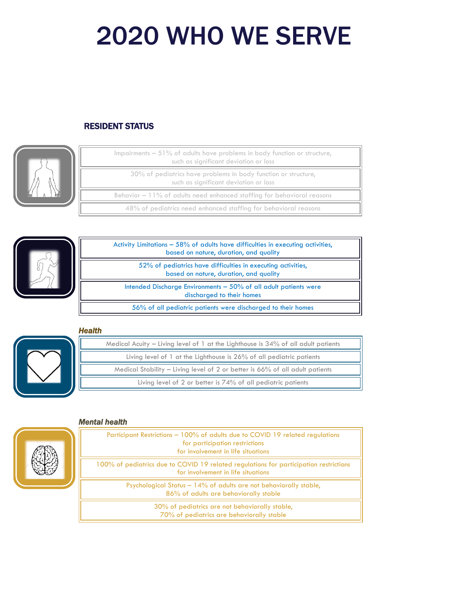# 2020 WHO WE SERVE

# RESIDENT STATUS



| Impairments $-51\%$ of adults have problems in body function or structure,<br>such as significant deviation or loss |
|---------------------------------------------------------------------------------------------------------------------|
| 30% of pediatrics have problems in body function or structure,<br>such as significant deviation or loss             |
| Behavior $-11\%$ of adults need enhanced staffing for behavioral reasons                                            |
| 48% of pediatrics need enhanced staffing for behavioral reasons                                                     |



| Activity Limitations $-58\%$ of adults have difficulties in executing activities,<br>based on nature, duration, and quality |  |
|-----------------------------------------------------------------------------------------------------------------------------|--|
| 52% of pediatrics have difficulties in executing activities.<br>based on nature, duration, and quality                      |  |
| Intended Discharge Environments $-50\%$ of all adult patients were<br>discharged to their homes                             |  |
| 56% of all pediatric patients were discharged to their homes                                                                |  |

## *Health*



| Medical Acuity – Living level of 1 at the Lighthouse is $34\%$ of all adult patients |
|--------------------------------------------------------------------------------------|
| Living level of 1 at the Lighthouse is 26% of all pediatric patients                 |
| Medical Stability – Living level of 2 or better is 66% of all adult patients         |
| Living level of 2 or better is 74% of all pediatric patients                         |

#### *Mental health*